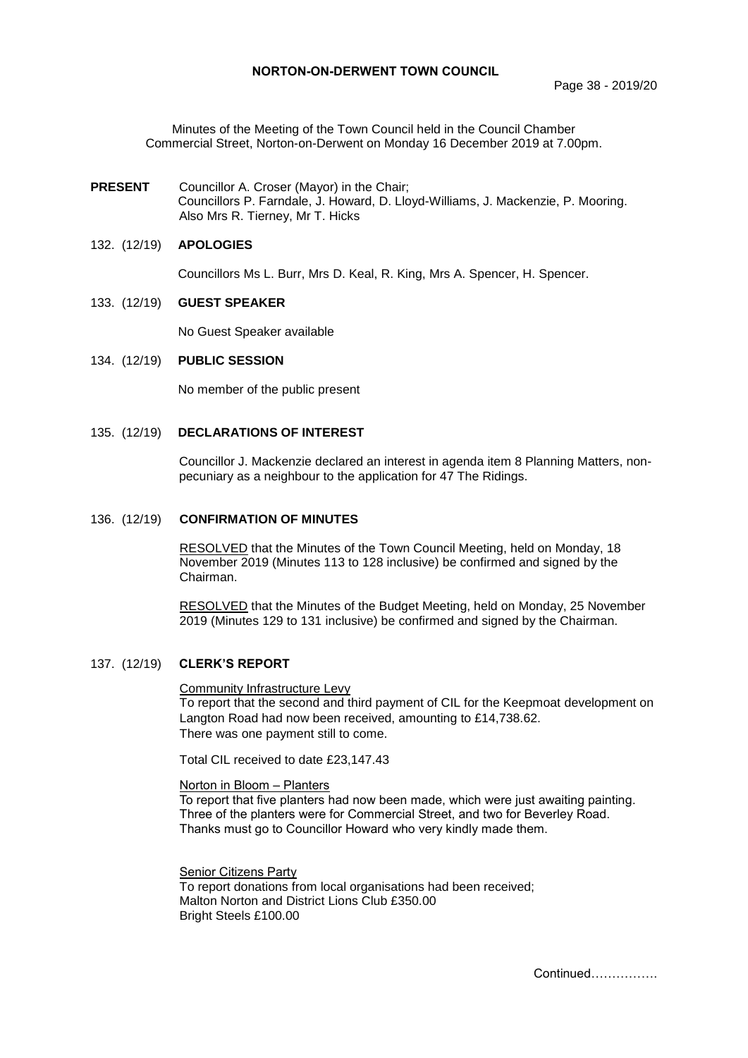Minutes of the Meeting of the Town Council held in the Council Chamber Commercial Street, Norton-on-Derwent on Monday 16 December 2019 at 7.00pm.

**PRESENT** Councillor A. Croser (Mayor) in the Chair; Councillors P. Farndale, J. Howard, D. Lloyd-Williams, J. Mackenzie, P. Mooring. Also Mrs R. Tierney, Mr T. Hicks

#### 132. (12/19) **APOLOGIES**

Councillors Ms L. Burr, Mrs D. Keal, R. King, Mrs A. Spencer, H. Spencer.

#### 133. (12/19) **GUEST SPEAKER**

No Guest Speaker available

#### 134. (12/19) **PUBLIC SESSION**

No member of the public present

## 135. (12/19) **DECLARATIONS OF INTEREST**

Councillor J. Mackenzie declared an interest in agenda item 8 Planning Matters, nonpecuniary as a neighbour to the application for 47 The Ridings.

#### 136. (12/19) **CONFIRMATION OF MINUTES**

RESOLVED that the Minutes of the Town Council Meeting, held on Monday, 18 November 2019 (Minutes 113 to 128 inclusive) be confirmed and signed by the Chairman.

RESOLVED that the Minutes of the Budget Meeting, held on Monday, 25 November 2019 (Minutes 129 to 131 inclusive) be confirmed and signed by the Chairman.

#### 137. (12/19) **CLERK'S REPORT**

Community Infrastructure Levy

To report that the second and third payment of CIL for the Keepmoat development on Langton Road had now been received, amounting to £14,738.62. There was one payment still to come.

Total CIL received to date £23,147.43

#### Norton in Bloom – Planters

To report that five planters had now been made, which were just awaiting painting. Three of the planters were for Commercial Street, and two for Beverley Road. Thanks must go to Councillor Howard who very kindly made them.

Senior Citizens Party To report donations from local organisations had been received; Malton Norton and District Lions Club £350.00 Bright Steels £100.00

Continued…………….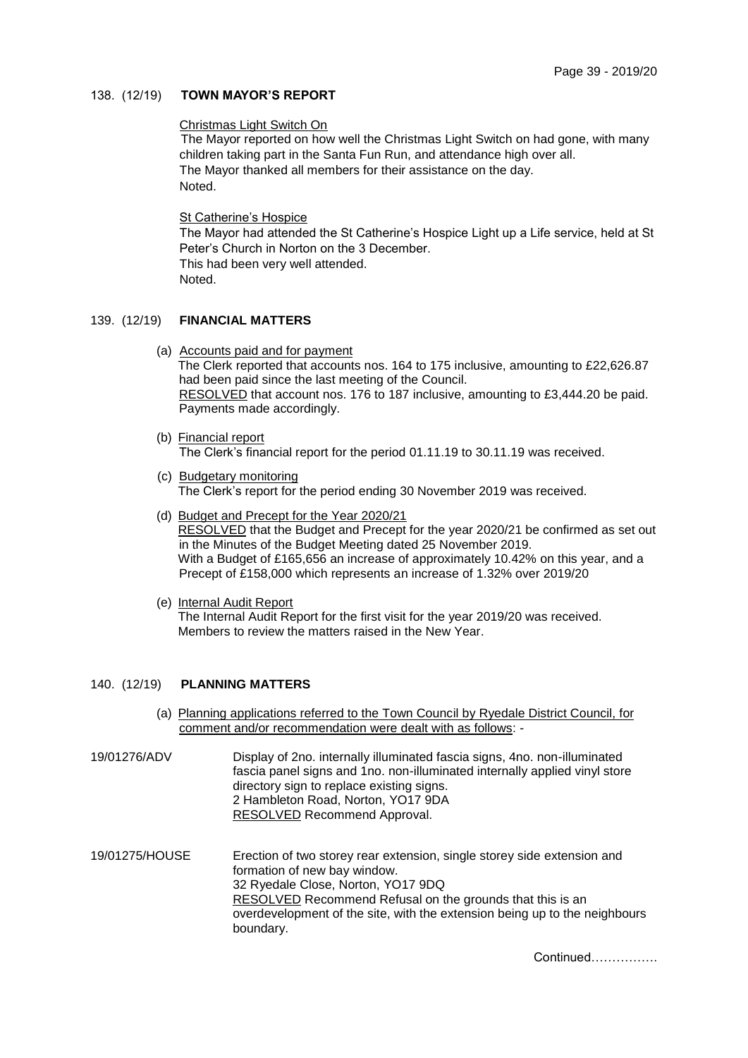## 138. (12/19) **TOWN MAYOR'S REPORT**

### Christmas Light Switch On

The Mayor reported on how well the Christmas Light Switch on had gone, with many children taking part in the Santa Fun Run, and attendance high over all. The Mayor thanked all members for their assistance on the day. Noted.

#### St Catherine's Hospice

The Mayor had attended the St Catherine's Hospice Light up a Life service, held at St Peter's Church in Norton on the 3 December. This had been very well attended. Noted.

#### 139. (12/19) **FINANCIAL MATTERS**

- (a) Accounts paid and for payment The Clerk reported that accounts nos. 164 to 175 inclusive, amounting to £22,626.87 had been paid since the last meeting of the Council. RESOLVED that account nos. 176 to 187 inclusive, amounting to £3,444.20 be paid. Payments made accordingly.
- (b) Financial report The Clerk's financial report for the period 01.11.19 to 30.11.19 was received.
- (c) Budgetary monitoring The Clerk's report for the period ending 30 November 2019 was received.
- (d) Budget and Precept for the Year 2020/21 RESOLVED that the Budget and Precept for the year 2020/21 be confirmed as set out in the Minutes of the Budget Meeting dated 25 November 2019. With a Budget of £165,656 an increase of approximately 10.42% on this year, and a Precept of £158,000 which represents an increase of 1.32% over 2019/20
- (e) Internal Audit Report The Internal Audit Report for the first visit for the year 2019/20 was received. Members to review the matters raised in the New Year.

#### 140. (12/19) **PLANNING MATTERS**

- (a) Planning applications referred to the Town Council by Ryedale District Council, for comment and/or recommendation were dealt with as follows: -
- 19/01276/ADV Display of 2no. internally illuminated fascia signs, 4no. non-illuminated fascia panel signs and 1no. non-illuminated internally applied vinyl store directory sign to replace existing signs. 2 Hambleton Road, Norton, YO17 9DA RESOLVED Recommend Approval.
- 19/01275/HOUSE Erection of two storey rear extension, single storey side extension and formation of new bay window. 32 Ryedale Close, Norton, YO17 9DQ RESOLVED Recommend Refusal on the grounds that this is an overdevelopment of the site, with the extension being up to the neighbours boundary.

Continued…………….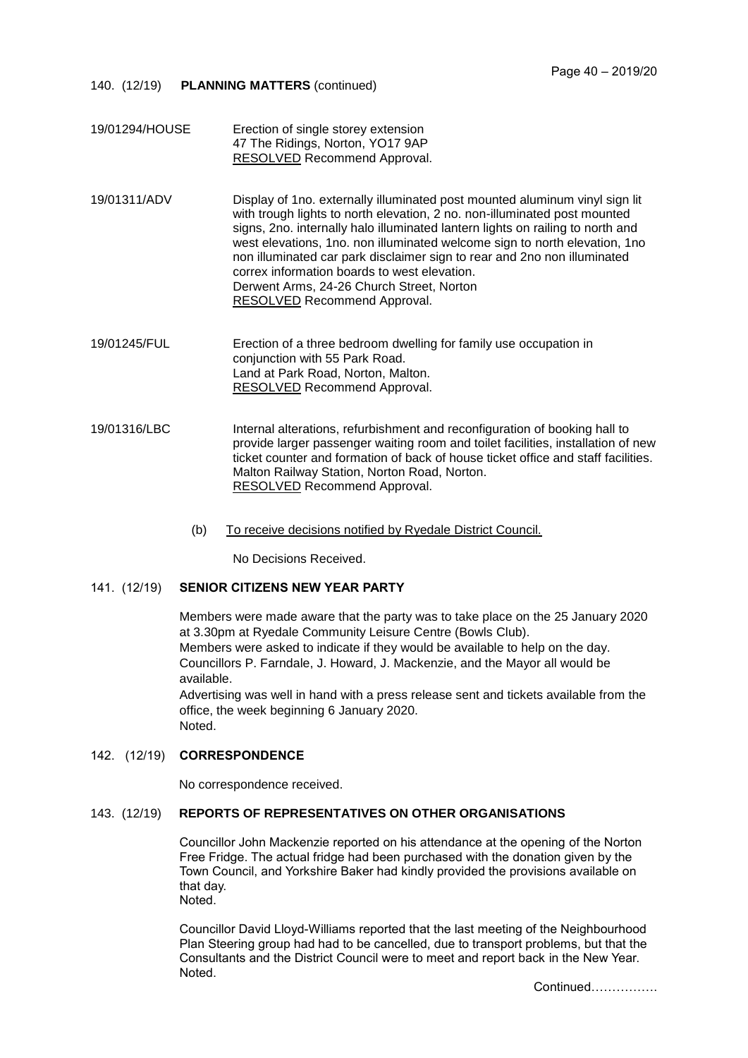- 140. (12/19) **PLANNING MATTERS** (continued)
- 19/01294/HOUSE Erection of single storey extension 47 The Ridings, Norton, YO17 9AP RESOLVED Recommend Approval.
- 19/01311/ADV Display of 1no. externally illuminated post mounted aluminum vinyl sign lit with trough lights to north elevation, 2 no. non-illuminated post mounted signs, 2no. internally halo illuminated lantern lights on railing to north and west elevations, 1no. non illuminated welcome sign to north elevation, 1no non illuminated car park disclaimer sign to rear and 2no non illuminated correx information boards to west elevation. Derwent Arms, 24-26 Church Street, Norton RESOLVED Recommend Approval.

19/01245/FUL Erection of a three bedroom dwelling for family use occupation in conjunction with 55 Park Road. Land at Park Road, Norton, Malton. RESOLVED Recommend Approval.

- 19/01316/LBC Internal alterations, refurbishment and reconfiguration of booking hall to provide larger passenger waiting room and toilet facilities, installation of new ticket counter and formation of back of house ticket office and staff facilities. Malton Railway Station, Norton Road, Norton. RESOLVED Recommend Approval.
	- (b) To receive decisions notified by Ryedale District Council.

No Decisions Received.

## 141. (12/19) **SENIOR CITIZENS NEW YEAR PARTY**

Members were made aware that the party was to take place on the 25 January 2020 at 3.30pm at Ryedale Community Leisure Centre (Bowls Club). Members were asked to indicate if they would be available to help on the day. Councillors P. Farndale, J. Howard, J. Mackenzie, and the Mayor all would be available.

Advertising was well in hand with a press release sent and tickets available from the office, the week beginning 6 January 2020. Noted.

#### 142. (12/19) **CORRESPONDENCE**

No correspondence received.

## 143. (12/19) **REPORTS OF REPRESENTATIVES ON OTHER ORGANISATIONS**

Councillor John Mackenzie reported on his attendance at the opening of the Norton Free Fridge. The actual fridge had been purchased with the donation given by the Town Council, and Yorkshire Baker had kindly provided the provisions available on that day. Noted.

Councillor David Lloyd-Williams reported that the last meeting of the Neighbourhood Plan Steering group had had to be cancelled, due to transport problems, but that the Consultants and the District Council were to meet and report back in the New Year. Noted.

Continued…………….